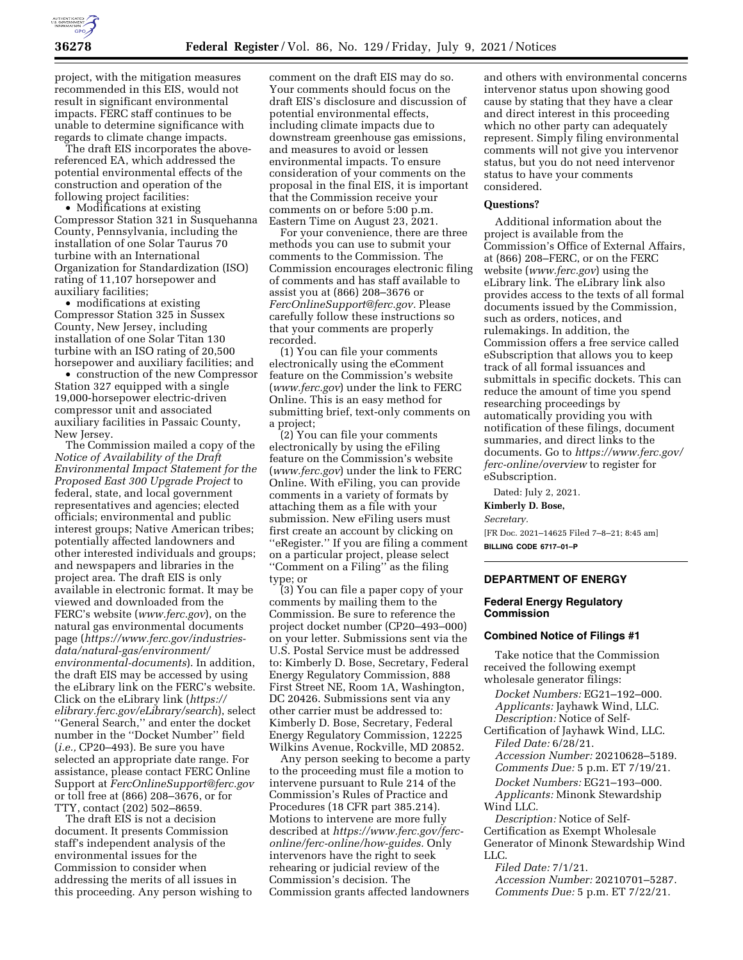

project, with the mitigation measures recommended in this EIS, would not result in significant environmental impacts. FERC staff continues to be unable to determine significance with regards to climate change impacts.

The draft EIS incorporates the abovereferenced EA, which addressed the potential environmental effects of the construction and operation of the following project facilities:

• Modifications at existing Compressor Station 321 in Susquehanna County, Pennsylvania, including the installation of one Solar Taurus 70 turbine with an International Organization for Standardization (ISO) rating of 11,107 horsepower and auxiliary facilities;

• modifications at existing Compressor Station 325 in Sussex County, New Jersey, including installation of one Solar Titan 130 turbine with an ISO rating of 20,500 horsepower and auxiliary facilities; and

• construction of the new Compressor Station 327 equipped with a single 19,000-horsepower electric-driven compressor unit and associated auxiliary facilities in Passaic County, New Jersey.

The Commission mailed a copy of the *Notice of Availability of the Draft Environmental Impact Statement for the Proposed East 300 Upgrade Project* to federal, state, and local government representatives and agencies; elected officials; environmental and public interest groups; Native American tribes; potentially affected landowners and other interested individuals and groups; and newspapers and libraries in the project area. The draft EIS is only available in electronic format. It may be viewed and downloaded from the FERC's website (*[www.ferc.gov](http://www.ferc.gov)*), on the natural gas environmental documents page (*[https://www.ferc.gov/industries](https://www.ferc.gov/industries-data/natural-gas/environment/environmental-documents)[data/natural-gas/environment/](https://www.ferc.gov/industries-data/natural-gas/environment/environmental-documents) [environmental-documents](https://www.ferc.gov/industries-data/natural-gas/environment/environmental-documents)*). In addition, the draft EIS may be accessed by using the eLibrary link on the FERC's website. Click on the eLibrary link (*[https://](https://elibrary.ferc.gov/eLibrary/search) [elibrary.ferc.gov/eLibrary/search](https://elibrary.ferc.gov/eLibrary/search)*), select ''General Search,'' and enter the docket number in the ''Docket Number'' field (*i.e.,* CP20–493). Be sure you have selected an appropriate date range. For assistance, please contact FERC Online Support at *[FercOnlineSupport@ferc.gov](mailto:FercOnlineSupport@ferc.gov)*  or toll free at (866) 208–3676, or for TTY, contact (202) 502–8659.

The draft EIS is not a decision document. It presents Commission staff's independent analysis of the environmental issues for the Commission to consider when addressing the merits of all issues in this proceeding. Any person wishing to comment on the draft EIS may do so. Your comments should focus on the draft EIS's disclosure and discussion of potential environmental effects, including climate impacts due to downstream greenhouse gas emissions, and measures to avoid or lessen environmental impacts. To ensure consideration of your comments on the proposal in the final EIS, it is important that the Commission receive your comments on or before 5:00 p.m. Eastern Time on August 23, 2021.

For your convenience, there are three methods you can use to submit your comments to the Commission. The Commission encourages electronic filing of comments and has staff available to assist you at (866) 208–3676 or *[FercOnlineSupport@ferc.gov.](mailto:FercOnlineSupport@ferc.gov)* Please carefully follow these instructions so that your comments are properly recorded.

(1) You can file your comments electronically using the eComment feature on the Commission's website (*[www.ferc.gov](http://www.ferc.gov)*) under the link to FERC Online. This is an easy method for submitting brief, text-only comments on a project;

(2) You can file your comments electronically by using the eFiling feature on the Commission's website (*[www.ferc.gov](http://www.ferc.gov)*) under the link to FERC Online. With eFiling, you can provide comments in a variety of formats by attaching them as a file with your submission. New eFiling users must first create an account by clicking on ''eRegister.'' If you are filing a comment on a particular project, please select ''Comment on a Filing'' as the filing type; or

(3) You can file a paper copy of your comments by mailing them to the Commission. Be sure to reference the project docket number (CP20–493–000) on your letter. Submissions sent via the U.S. Postal Service must be addressed to: Kimberly D. Bose, Secretary, Federal Energy Regulatory Commission, 888 First Street NE, Room 1A, Washington, DC 20426. Submissions sent via any other carrier must be addressed to: Kimberly D. Bose, Secretary, Federal Energy Regulatory Commission, 12225 Wilkins Avenue, Rockville, MD 20852.

Any person seeking to become a party to the proceeding must file a motion to intervene pursuant to Rule 214 of the Commission's Rules of Practice and Procedures (18 CFR part 385.214). Motions to intervene are more fully described at *[https://www.ferc.gov/ferc](https://www.ferc.gov/ferc-online/ferc-online/how-guides)[online/ferc-online/how-guides.](https://www.ferc.gov/ferc-online/ferc-online/how-guides)* Only intervenors have the right to seek rehearing or judicial review of the Commission's decision. The Commission grants affected landowners

and others with environmental concerns intervenor status upon showing good cause by stating that they have a clear and direct interest in this proceeding which no other party can adequately represent. Simply filing environmental comments will not give you intervenor status, but you do not need intervenor status to have your comments considered.

### **Questions?**

Additional information about the project is available from the Commission's Office of External Affairs, at (866) 208–FERC, or on the FERC website (*[www.ferc.gov](http://www.ferc.gov)*) using the eLibrary link. The eLibrary link also provides access to the texts of all formal documents issued by the Commission, such as orders, notices, and rulemakings. In addition, the Commission offers a free service called eSubscription that allows you to keep track of all formal issuances and submittals in specific dockets. This can reduce the amount of time you spend researching proceedings by automatically providing you with notification of these filings, document summaries, and direct links to the documents. Go to *[https://www.ferc.gov/](https://www.ferc.gov/ferc-online/overview) [ferc-online/overview](https://www.ferc.gov/ferc-online/overview)* to register for eSubscription.

Dated: July 2, 2021.

#### **Kimberly D. Bose,**

*Secretary.* 

[FR Doc. 2021–14625 Filed 7–8–21; 8:45 am] **BILLING CODE 6717–01–P** 

## **DEPARTMENT OF ENERGY**

#### **Federal Energy Regulatory Commission**

#### **Combined Notice of Filings #1**

Take notice that the Commission received the following exempt wholesale generator filings:

*Docket Numbers:* EG21–192–000. *Applicants:* Jayhawk Wind, LLC. *Description:* Notice of Self-

Certification of Jayhawk Wind, LLC. *Filed Date:* 6/28/21.

*Accession Number:* 20210628–5189. *Comments Due:* 5 p.m. ET 7/19/21. *Docket Numbers:* EG21–193–000. *Applicants:* Minonk Stewardship Wind LLC.

*Description:* Notice of Self-Certification as Exempt Wholesale Generator of Minonk Stewardship Wind LLC.

*Filed Date:* 7/1/21.

*Accession Number:* 20210701–5287. *Comments Due:* 5 p.m. ET 7/22/21.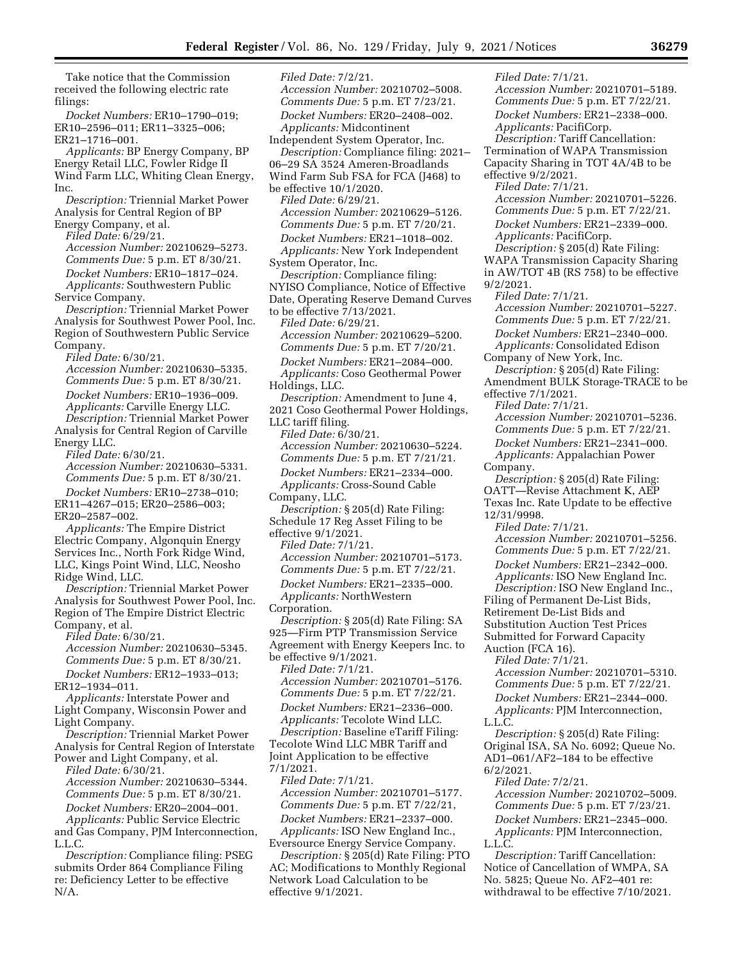Take notice that the Commission received the following electric rate filings:

*Docket Numbers:* ER10–1790–019; ER10–2596–011; ER11–3325–006; ER21–1716–001.

*Applicants:* BP Energy Company, BP Energy Retail LLC, Fowler Ridge II Wind Farm LLC, Whiting Clean Energy, Inc.

*Description:* Triennial Market Power Analysis for Central Region of BP Energy Company, et al.

*Filed Date:* 6/29/21.

*Accession Number:* 20210629–5273. *Comments Due:* 5 p.m. ET 8/30/21.

*Docket Numbers:* ER10–1817–024. *Applicants:* Southwestern Public Service Company.

*Description:* Triennial Market Power Analysis for Southwest Power Pool, Inc. Region of Southwestern Public Service Company.

*Filed Date:* 6/30/21.

*Accession Number:* 20210630–5335. *Comments Due:* 5 p.m. ET 8/30/21. *Docket Numbers:* ER10–1936–009. *Applicants:* Carville Energy LLC. *Description:* Triennial Market Power Analysis for Central Region of Carville Energy LLC.

*Filed Date:* 6/30/21. *Accession Number:* 20210630–5331. *Comments Due:* 5 p.m. ET 8/30/21.

*Docket Numbers:* ER10–2738–010; ER11–4267–015; ER20–2586–003; ER20–2587–002.

*Applicants:* The Empire District Electric Company, Algonquin Energy Services Inc., North Fork Ridge Wind, LLC, Kings Point Wind, LLC, Neosho Ridge Wind, LLC.

*Description:* Triennial Market Power Analysis for Southwest Power Pool, Inc. Region of The Empire District Electric Company, et al.

*Filed Date:* 6/30/21. *Accession Number:* 20210630–5345. *Comments Due:* 5 p.m. ET 8/30/21.

*Docket Numbers:* ER12–1933–013; ER12–1934–011.

*Applicants:* Interstate Power and Light Company, Wisconsin Power and Light Company.

*Description:* Triennial Market Power Analysis for Central Region of Interstate Power and Light Company, et al.

*Filed Date:* 6/30/21.

*Accession Number:* 20210630–5344. *Comments Due:* 5 p.m. ET 8/30/21.

*Docket Numbers:* ER20–2004–001. *Applicants:* Public Service Electric

and Gas Company, PJM Interconnection, L.L.C.

*Description:* Compliance filing: PSEG submits Order 864 Compliance Filing re: Deficiency Letter to be effective N/A.

*Filed Date:* 7/2/21. *Accession Number:* 20210702–5008. *Comments Due:* 5 p.m. ET 7/23/21. *Docket Numbers:* ER20–2408–002. *Applicants:* Midcontinent Independent System Operator, Inc. *Description:* Compliance filing: 2021– 06–29 SA 3524 Ameren-Broadlands Wind Farm Sub FSA for FCA (J468) to be effective 10/1/2020. *Filed Date:* 6/29/21. *Accession Number:* 20210629–5126. *Comments Due:* 5 p.m. ET 7/20/21. *Docket Numbers:* ER21–1018–002. *Applicants:* New York Independent System Operator, Inc. *Description:* Compliance filing: NYISO Compliance, Notice of Effective Date, Operating Reserve Demand Curves to be effective 7/13/2021. *Filed Date:* 6/29/21. *Accession Number:* 20210629–5200. *Comments Due:* 5 p.m. ET 7/20/21. *Docket Numbers:* ER21–2084–000. *Applicants:* Coso Geothermal Power Holdings, LLC. *Description:* Amendment to June 4, 2021 Coso Geothermal Power Holdings, LLC tariff filing. *Filed Date:* 6/30/21. *Accession Number:* 20210630–5224. *Comments Due:* 5 p.m. ET 7/21/21. *Docket Numbers:* ER21–2334–000. *Applicants:* Cross-Sound Cable Company, LLC. *Description:* § 205(d) Rate Filing: Schedule 17 Reg Asset Filing to be effective 9/1/2021. *Filed Date:* 7/1/21. *Accession Number:* 20210701–5173. *Comments Due:* 5 p.m. ET 7/22/21. *Docket Numbers:* ER21–2335–000. *Applicants:* NorthWestern Corporation. *Description:* § 205(d) Rate Filing: SA 925—Firm PTP Transmission Service Agreement with Energy Keepers Inc. to be effective 9/1/2021. *Filed Date:* 7/1/21. *Accession Number:* 20210701–5176. *Comments Due:* 5 p.m. ET 7/22/21. *Docket Numbers:* ER21–2336–000. *Applicants:* Tecolote Wind LLC. *Description:* Baseline eTariff Filing: Tecolote Wind LLC MBR Tariff and Joint Application to be effective 7/1/2021. *Filed Date:* 7/1/21. *Accession Number:* 20210701–5177. *Comments Due:* 5 p.m. ET 7/22/21, *Docket Numbers:* ER21–2337–000. *Applicants:* ISO New England Inc., Eversource Energy Service Company. *Description:* § 205(d) Rate Filing: PTO

AC; Modifications to Monthly Regional Network Load Calculation to be effective 9/1/2021.

*Filed Date:* 7/1/21. *Accession Number:* 20210701–5189. *Comments Due:* 5 p.m. ET 7/22/21. *Docket Numbers:* ER21–2338–000. *Applicants:* PacifiCorp. *Description:* Tariff Cancellation: Termination of WAPA Transmission Capacity Sharing in TOT 4A/4B to be effective 9/2/2021. *Filed Date:* 7/1/21. *Accession Number:* 20210701–5226. *Comments Due:* 5 p.m. ET 7/22/21. *Docket Numbers:* ER21–2339–000. *Applicants:* PacifiCorp. *Description:* § 205(d) Rate Filing: WAPA Transmission Capacity Sharing in AW/TOT 4B (RS 758) to be effective 9/2/2021. *Filed Date:* 7/1/21. *Accession Number:* 20210701–5227. *Comments Due:* 5 p.m. ET 7/22/21. *Docket Numbers:* ER21–2340–000. *Applicants:* Consolidated Edison Company of New York, Inc. *Description:* § 205(d) Rate Filing: Amendment BULK Storage-TRACE to be effective 7/1/2021. *Filed Date:* 7/1/21. *Accession Number:* 20210701–5236. *Comments Due:* 5 p.m. ET 7/22/21. *Docket Numbers:* ER21–2341–000. *Applicants:* Appalachian Power Company. *Description:* § 205(d) Rate Filing: OATT—Revise Attachment K, AEP Texas Inc. Rate Update to be effective 12/31/9998. *Filed Date:* 7/1/21. *Accession Number:* 20210701–5256. *Comments Due:* 5 p.m. ET 7/22/21. *Docket Numbers:* ER21–2342–000. *Applicants:* ISO New England Inc. *Description:* ISO New England Inc., Filing of Permanent De-List Bids, Retirement De-List Bids and Substitution Auction Test Prices Submitted for Forward Capacity Auction (FCA 16). *Filed Date:* 7/1/21. *Accession Number:* 20210701–5310. *Comments Due:* 5 p.m. ET 7/22/21. *Docket Numbers:* ER21–2344–000. *Applicants:* PJM Interconnection, L.L.C. *Description:* § 205(d) Rate Filing: Original ISA, SA No. 6092; Queue No. AD1–061/AF2–184 to be effective 6/2/2021. *Filed Date:* 7/2/21. *Accession Number:* 20210702–5009. *Comments Due:* 5 p.m. ET 7/23/21. *Docket Numbers:* ER21–2345–000. *Applicants:* PJM Interconnection,

L.L.C.

*Description:* Tariff Cancellation: Notice of Cancellation of WMPA, SA No. 5825; Queue No. AF2–401 re: withdrawal to be effective 7/10/2021.